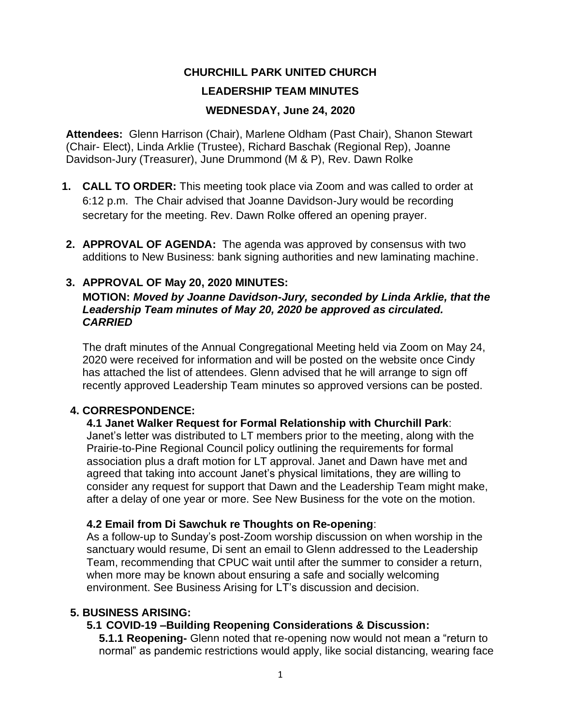# **CHURCHILL PARK UNITED CHURCH LEADERSHIP TEAM MINUTES WEDNESDAY, June 24, 2020**

**Attendees:** Glenn Harrison (Chair), Marlene Oldham (Past Chair), Shanon Stewart (Chair- Elect), Linda Arklie (Trustee), Richard Baschak (Regional Rep), Joanne Davidson-Jury (Treasurer), June Drummond (M & P), Rev. Dawn Rolke

- **1. CALL TO ORDER:** This meeting took place via Zoom and was called to order at 6:12 p.m. The Chair advised that Joanne Davidson-Jury would be recording secretary for the meeting. Rev. Dawn Rolke offered an opening prayer.
- **2. APPROVAL OF AGENDA:** The agenda was approved by consensus with two additions to New Business: bank signing authorities and new laminating machine.

# **3. APPROVAL OF May 20, 2020 MINUTES:**

### **MOTION:** *Moved by Joanne Davidson-Jury, seconded by Linda Arklie, that the Leadership Team minutes of May 20, 2020 be approved as circulated. CARRIED*

The draft minutes of the Annual Congregational Meeting held via Zoom on May 24, 2020 were received for information and will be posted on the website once Cindy has attached the list of attendees. Glenn advised that he will arrange to sign off recently approved Leadership Team minutes so approved versions can be posted.

# **4. CORRESPONDENCE:**

### **4.1 Janet Walker Request for Formal Relationship with Churchill Park**:

Janet's letter was distributed to LT members prior to the meeting, along with the Prairie-to-Pine Regional Council policy outlining the requirements for formal association plus a draft motion for LT approval. Janet and Dawn have met and agreed that taking into account Janet's physical limitations, they are willing to consider any request for support that Dawn and the Leadership Team might make, after a delay of one year or more. See New Business for the vote on the motion.

# **4.2 Email from Di Sawchuk re Thoughts on Re-opening**:

As a follow-up to Sunday's post-Zoom worship discussion on when worship in the sanctuary would resume, Di sent an email to Glenn addressed to the Leadership Team, recommending that CPUC wait until after the summer to consider a return, when more may be known about ensuring a safe and socially welcoming environment. See Business Arising for LT's discussion and decision.

# **5. BUSINESS ARISING:**

# **5.1 COVID-19 –Building Reopening Considerations & Discussion:**

**5.1.1 Reopening-** Glenn noted that re-opening now would not mean a "return to normal" as pandemic restrictions would apply, like social distancing, wearing face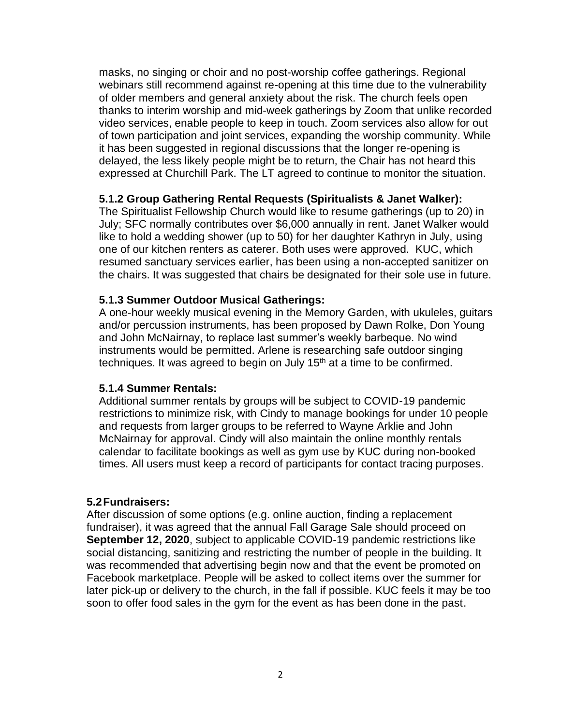masks, no singing or choir and no post-worship coffee gatherings. Regional webinars still recommend against re-opening at this time due to the vulnerability of older members and general anxiety about the risk. The church feels open thanks to interim worship and mid-week gatherings by Zoom that unlike recorded video services, enable people to keep in touch. Zoom services also allow for out of town participation and joint services, expanding the worship community. While it has been suggested in regional discussions that the longer re-opening is delayed, the less likely people might be to return, the Chair has not heard this expressed at Churchill Park. The LT agreed to continue to monitor the situation.

### **5.1.2 Group Gathering Rental Requests (Spiritualists & Janet Walker):**

The Spiritualist Fellowship Church would like to resume gatherings (up to 20) in July; SFC normally contributes over \$6,000 annually in rent. Janet Walker would like to hold a wedding shower (up to 50) for her daughter Kathryn in July, using one of our kitchen renters as caterer. Both uses were approved. KUC, which resumed sanctuary services earlier, has been using a non-accepted sanitizer on the chairs. It was suggested that chairs be designated for their sole use in future.

### **5.1.3 Summer Outdoor Musical Gatherings:**

A one-hour weekly musical evening in the Memory Garden, with ukuleles, guitars and/or percussion instruments, has been proposed by Dawn Rolke, Don Young and John McNairnay, to replace last summer's weekly barbeque. No wind instruments would be permitted. Arlene is researching safe outdoor singing techniques. It was agreed to begin on July  $15<sup>th</sup>$  at a time to be confirmed.

#### **5.1.4 Summer Rentals:**

Additional summer rentals by groups will be subject to COVID-19 pandemic restrictions to minimize risk, with Cindy to manage bookings for under 10 people and requests from larger groups to be referred to Wayne Arklie and John McNairnay for approval. Cindy will also maintain the online monthly rentals calendar to facilitate bookings as well as gym use by KUC during non-booked times. All users must keep a record of participants for contact tracing purposes.

#### **5.2Fundraisers:**

After discussion of some options (e.g. online auction, finding a replacement fundraiser), it was agreed that the annual Fall Garage Sale should proceed on **September 12, 2020**, subject to applicable COVID-19 pandemic restrictions like social distancing, sanitizing and restricting the number of people in the building. It was recommended that advertising begin now and that the event be promoted on Facebook marketplace. People will be asked to collect items over the summer for later pick-up or delivery to the church, in the fall if possible. KUC feels it may be too soon to offer food sales in the gym for the event as has been done in the past.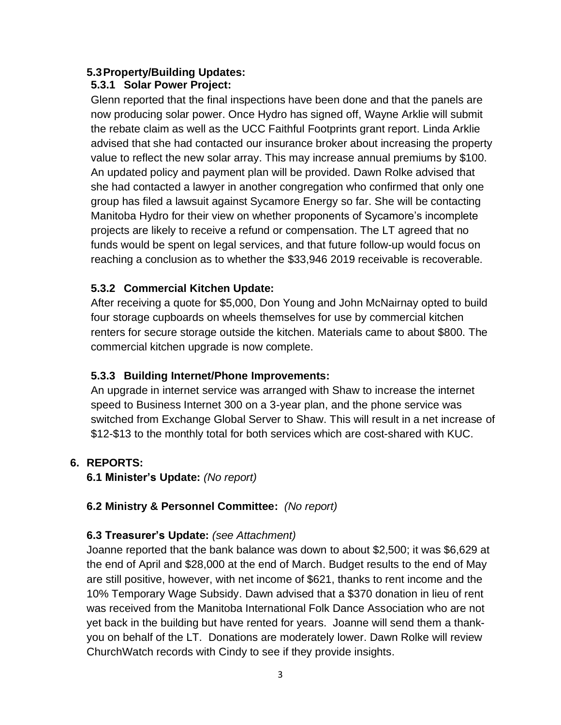# **5.3Property/Building Updates:**

# **5.3.1 Solar Power Project:**

Glenn reported that the final inspections have been done and that the panels are now producing solar power. Once Hydro has signed off, Wayne Arklie will submit the rebate claim as well as the UCC Faithful Footprints grant report. Linda Arklie advised that she had contacted our insurance broker about increasing the property value to reflect the new solar array. This may increase annual premiums by \$100. An updated policy and payment plan will be provided. Dawn Rolke advised that she had contacted a lawyer in another congregation who confirmed that only one group has filed a lawsuit against Sycamore Energy so far. She will be contacting Manitoba Hydro for their view on whether proponents of Sycamore's incomplete projects are likely to receive a refund or compensation. The LT agreed that no funds would be spent on legal services, and that future follow-up would focus on reaching a conclusion as to whether the \$33,946 2019 receivable is recoverable.

# **5.3.2 Commercial Kitchen Update:**

After receiving a quote for \$5,000, Don Young and John McNairnay opted to build four storage cupboards on wheels themselves for use by commercial kitchen renters for secure storage outside the kitchen. Materials came to about \$800. The commercial kitchen upgrade is now complete.

# **5.3.3 Building Internet/Phone Improvements:**

An upgrade in internet service was arranged with Shaw to increase the internet speed to Business Internet 300 on a 3-year plan, and the phone service was switched from Exchange Global Server to Shaw. This will result in a net increase of \$12-\$13 to the monthly total for both services which are cost-shared with KUC.

# **6. REPORTS:**

**6.1 Minister's Update:** *(No report)*

# **6.2 Ministry & Personnel Committee:** *(No report)*

# **6.3 Treasurer's Update:** *(see Attachment)*

Joanne reported that the bank balance was down to about \$2,500; it was \$6,629 at the end of April and \$28,000 at the end of March. Budget results to the end of May are still positive, however, with net income of \$621, thanks to rent income and the 10% Temporary Wage Subsidy. Dawn advised that a \$370 donation in lieu of rent was received from the Manitoba International Folk Dance Association who are not yet back in the building but have rented for years. Joanne will send them a thankyou on behalf of the LT. Donations are moderately lower. Dawn Rolke will review ChurchWatch records with Cindy to see if they provide insights.